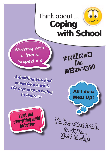

**Working with a friend helped me**

*Admitting you find something hard is the first step in trying to improve*







Take control. In diffs... get help